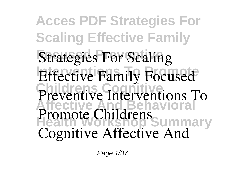**Acces PDF Strategies For Scaling Effective Family Strategies For Scaling Effective Family Focused Childrens Cognitive Affective And Behavioral Health Workshop Summary Promote Childrens Preventive Interventions To Cognitive Affective And**

Page 1/37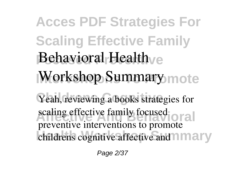## **Acces PDF Strategies For Scaling Effective Family Behavioral Health** *Morkshop Summary* mote Yeah, reviewing a books strategies for **scaling effective family focused** childrens cognitive affective and **mary preventive interventions to promote**

Page 2/37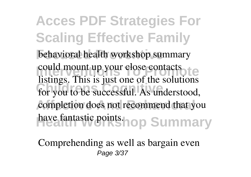**Acces PDF Strategies For Scaling Effective Family Focused Preventive behavioral health workshop summary Intervention could mount up your close contacts Childrens Cognitive** for you to be successful. As understood, completion does not recommend that you have fantastic points.hop Summary listings. This is just one of the solutions

Comprehending as well as bargain even Page 3/37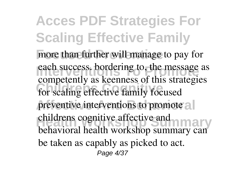**Acces PDF Strategies For Scaling Effective Family** more than further will manage to pay for **Interventions Separate Separate Separate Separate Separate Separate Separate Separate Separate Separate Separate Separate Separate Separate Separate Separate Separate Separate Separate Separate Separate Separate Separate** for scaling effective family focused preventive interventions to promote all childrens cognitive affective and<br>
<u>La City and La City and La City and</u> competently as keenness of this strategies behavioral health workshop summary can be taken as capably as picked to act. Page 4/37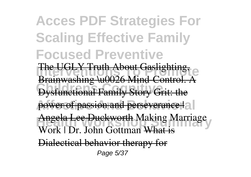## **Acces PDF Strategies For Scaling Effective Family Focused Preventive**

**The UGLY Truth About Gaslighting, Diammashing assessment** Co  $\overline{\text{D}}$ Data Mind-Co

Dysfunctional Family Story Grit: the

power of passion and perseverance | a |

Angela Lee Duckworth Making Marriage Work | Dr. John Gottman Wh

Dialectical behavior therapy for Page 5/37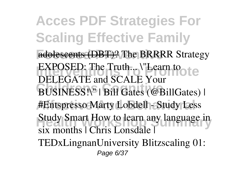**Acces PDF Strategies For Scaling Effective Family Focused Preventive** adolescents (DBT)? *The BRRRR Strategy* **IEXPOSED:** The Truth... *\"Learn to* **Childrens Cognitive** *BUSINESS!\" | Bill Gates (@BillGates) |* **Affective And Behavioral** *#Entspresso Marty Lobdell - Study Less* **Health Workshop Summary** *Study Smart* **How to learn any language in** *DELEGATE and SCALE Your* **six months | Chris Lonsdale | TEDxLingnanUniversity Blitzscaling 01:** Page 6/37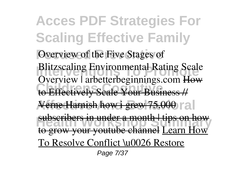**Acces PDF Strategies For Scaling Effective Family Overview of the Five Stages of Intervention Blitzscaling Environmental Rating Scale Childrens Cognitive** to Effectively Scale Your Business // Verne Harnish how i grew 75,000 r al **Health Workshop Supply Supply Supply Supply Supply Supply Supply Supply Supply Supply Supply Supply Supply** *Overview | arbetterbeginnings.com* How subscribers in under a month | tips on how to grow your youtube channel Learn How To Resolve Conflict \u0026 Restore

Page 7/37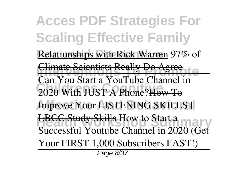**Acces PDF Strategies For Scaling Effective Family** Relationships with Rick Warren 97% of **Interventions Really Do Agree Childrens Cognitive** 2020 With JUST A Phone?How To **Improve Your LISTENING SKILLS | Health Workshop Skills How to Start a** Can You Start a YouTube Channel in *Successful Youtube Channel in 2020 (Get Your FIRST 1,000 Subscribers FAST!)* Page 8/37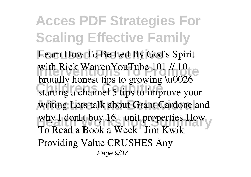**Acces PDF Strategies For Scaling Effective Family** Learn How To Be Led By God's Spirit with Rick WarrenYouTube 101 // 10 **Childrens Cognitive** *starting a channel* 5 tips to improve your writing Lets talk about Grant Cardone and why I don<sup>[1</sup> buy 16+ unit properties How *brutally honest tips to growing \u0026* **To Read a Book a Week | Jim Kwik** *Providing Value CRUSHES Any* Page 9/37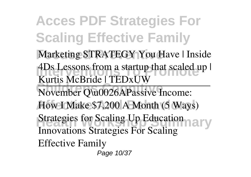**Acces PDF Strategies For Scaling Effective Family**

**Marketing STRATEGY You Have | Inside IDS** Lessons from a startup that scaled up | Kurtis McBride | TEDxUW

November Q\u0026APassive Income: How I Make \$7,200 A Month (5 Ways)

Strategies for Scaling Up Education Innovations *Strategies For Scaling*

*Effective Family*

Page 10/37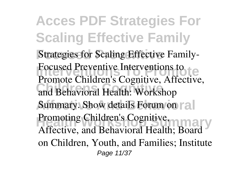**Acces PDF Strategies For Scaling Effective Family Strategies for Scaling Effective Family-Interventions to**<br> **Promote** Children's Constitution of the Proposition of the Proposition of the Proposition of the Proposition of the Proposition of the Proposition of the Proposition of the Proposition of the Propositi **Childrens Cognitive** and Behavioral Health: Workshop Summary. Show details Forum on rall **Promoting Children's Cognitive, and Property Commonly** Promote Children's Cognitive, Affective, Affective, and Behavioral Health; Board on Children, Youth, and Families; Institute Page 11/37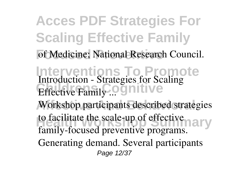**Acces PDF Strategies For Scaling Effective Family** of Medicine; National Research Council. **Interventions To Promote Effective Family ... Continue** Workshop participants described strategies to facilitate the scale-up of effective *Introduction - Strategies for Scaling* family-focused preventive programs. Generating demand. Several participants Page 12/37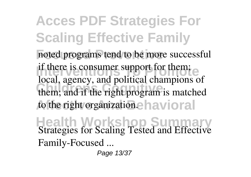**Acces PDF Strategies For Scaling Effective Family** noted programs tend to be more successful **If there is consumer support for them.** them; and if the right program is matched to the right organization.e havioral if there is consumer support for them; local, agency, and political champions of

**Health Workshop Summary** *Strategies for Scaling Tested and Effective Family-Focused ...*

Page 13/37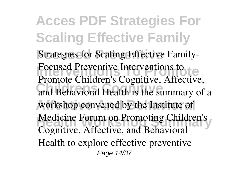**Acces PDF Strategies For Scaling Effective Family Strategies for Scaling Effective Family-Interventions to**<br> **Promote** Children's Constitution of the Proposition of the Proposition of the Proposition of the Proposition of the Proposition of the Proposition of the Proposition of the Proposition of the Propositi **Childrens Cognitive** and Behavioral Health is the summary of a workshop convened by the Institute of Medicine Forum on Promoting Children's Promote Children's Cognitive, Affective, Cognitive, Affective, and Behavioral Health to explore effective preventive Page 14/37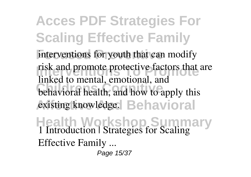**Acces PDF Strategies For Scaling Effective Family** interventions for youth that can modify risk and promote protective factors that are **Community** Community Constitution Constraints and the behavioral health, and how to apply this existing knowledge. **Behavioral Health Workshop Summary** linked to mental, emotional, and *1 Introduction | Strategies for Scaling Effective Family ...*

Page 15/37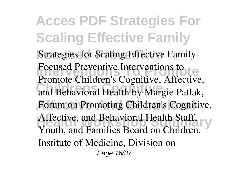**Acces PDF Strategies For Scaling Effective Family Strategies for Scaling Effective Family-Interventions to**<br> **Promote** Children's Constitution of the Proposition of the Proposition of the Proposition of the Proposition of the Proposition of the Proposition of the Proposition of the Proposition of the Propositi **Childrens Cognitive** and Behavioral Health by Margie Patlak, Forum on Promoting Children's Cognitive, Affective, and Behavioral Health Staff. Promote Children's Cognitive, Affective, Affective, and Behavioral Health Staff, Youth, and Families Board on Children, Institute of Medicine, Division on Page 16/37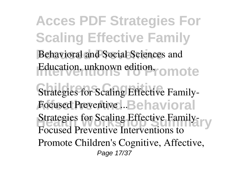**Acces PDF Strategies For Scaling Effective Family** Behavioral and Social Sciences and Education, unknown edition, omote **Strategies for Scaling Effective Family-Focused Preventive ...Behavioral Strategies for Scaling Effective Family-**Focused Preventive Interventions to Promote Children's Cognitive, Affective, Page 17/37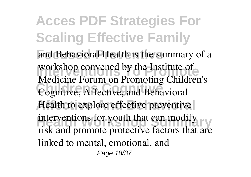**Acces PDF Strategies For Scaling Effective Family** and Behavioral Health is the summary of a **Intervention Convened by the Institute of Childrens Cognitive** Cognitive, Affective, and Behavioral Health to explore effective preventive **Health Workshop Summary**<br> **Health Workshop Summary** Medicine Forum on Promoting Children's risk and promote protective factors that are linked to mental, emotional, and Page 18/37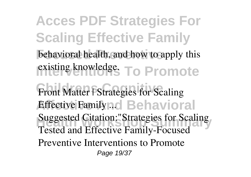**Acces PDF Strategies For Scaling Effective Family** behavioral health, and how to apply this existing knowledge. To Promote Front Matter | Strategies for Scaling *Affective Family n.d.* Behavioral **Suggested Citation:"Strategies for Scaling** Tested and Effective Family-Focused Preventive Interventions to Promote Page 19/37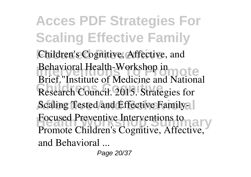**Acces PDF Strategies For Scaling Effective Family** Children's Cognitive, Affective, and **Intervention Health-Workshop in** Research Council. 2015. Strategies for Scaling Tested and Effective Family-**Focused Preventive Interventions to** Brief."Institute of Medicine and National Promote Children's Cognitive, Affective, and Behavioral ...

Page 20/37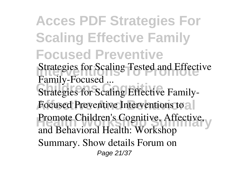**Acces PDF Strategies For Scaling Effective Family Focused Preventive Interventions Tested and Effective Caling Counsel ...**<br>Strategies for Scaling Effective Family-Focused Preventive Interventions to all **Promote Children's Cognitive, Affective, Warren's Cognitive, Affective,** *Family-Focused ...* and Behavioral Health: Workshop Summary. Show details Forum on Page 21/37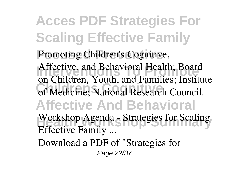**Acces PDF Strategies For Scaling Effective Family** Promoting Children's Cognitive, Affective, and Behavioral Health; Board of Medicine; National Research Council. **Affective And Behavioral Health Workshop Summary** *Workshop Agenda - Strategies for Scaling* on Children, Youth, and Families; Institute *Effective Family ...* Download a PDF of "Strategies for Page 22/37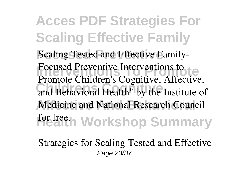**Acces PDF Strategies For Scaling Effective Family Scaling Tested and Effective Family-Interventions to**<br> **Promote** Children's Constitution of the Proposition of the Proposition of the Proposition of the Proposition of the Proposition of the Proposition of the Proposition of the Proposition of the Propositi **Childrens Cognitive** and Behavioral Health" by the Institute of Medicine and National Research Council **Health Workshop Summary** Promote Children's Cognitive, Affective,

*Strategies for Scaling Tested and Effective* Page 23/37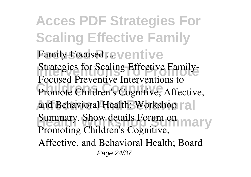**Acces PDF Strategies For Scaling Effective Family Family-Focused ...** ventive **Intervention Strategies for Scaling Effective Family-**Promote Children's Cognitive, Affective, and Behavioral Health: Workshop ral **Summary. Show details Forum on the Summary.** Focused Preventive Interventions to Promoting Children's Cognitive, Affective, and Behavioral Health; Board Page 24/37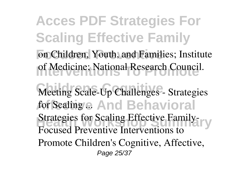**Acces PDF Strategies For Scaling Effective Family** on Children, Youth, and Families; Institute of Medicine; National Research Council. Meeting Scale-Up Challenges - Strategies **Affective And Behavioral** *for Scaling ...* **Strategies for Scaling Effective Family-**Focused Preventive Interventions to Promote Children's Cognitive, Affective, Page 25/37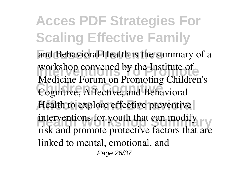**Acces PDF Strategies For Scaling Effective Family** and Behavioral Health is the summary of a **Intervention Convened by the Institute of Childrens Cognitive** Cognitive, Affective, and Behavioral Health to explore effective preventive **Health Workshop Summary**<br> **Health Workshop Summary** Medicine Forum on Promoting Children's risk and promote protective factors that are linked to mental, emotional, and Page 26/37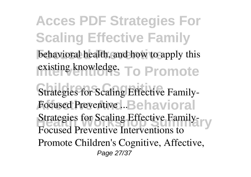**Acces PDF Strategies For Scaling Effective Family** behavioral health, and how to apply this existing knowledge. To Promote **Strategies for Scaling Effective Family-Focused Preventive ...Behavioral Strategies for Scaling Effective Family-**Focused Preventive Interventions to Promote Children's Cognitive, Affective, Page 27/37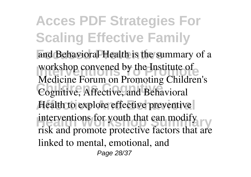**Acces PDF Strategies For Scaling Effective Family** and Behavioral Health is the summary of a **Intervention Convened by the Institute of Childrens Cognitive** Cognitive, Affective, and Behavioral Health to explore effective preventive **Health Workshop Summary**<br> **Health Workshop Summary** Medicine Forum on Promoting Children's risk and promote protective factors that are linked to mental, emotional, and Page 28/37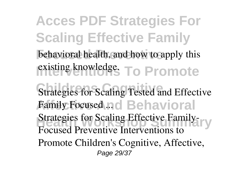**Acces PDF Strategies For Scaling Effective Family** behavioral health, and how to apply this existing knowledge. To Promote **Strategies for Scaling Tested and Effective Affective And Behavioral** *Family Focused ...* **Strategies for Scaling Effective Family-**Focused Preventive Interventions to Promote Children's Cognitive, Affective, Page 29/37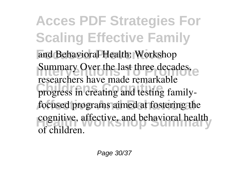**Acces PDF Strategies For Scaling Effective Family** and Behavioral Health: Workshop **Summary Over the last three decades, expanding the last three decades, expanding the state of the state of the state of the state of the state of the state of the state of the state of the state of the state of the state** progress in creating and testing familyfocused programs aimed at fostering the cognitive, affective, and behavioral health researchers have made remarkable of children.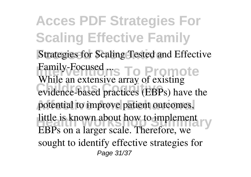**Acces PDF Strategies For Scaling Effective Family Strategies for Scaling Tested and Effective Family-Focused rs To Promote** evidence-based practices (EBPs) have the potential to improve patient outcomes, little is known about how to implement While an extensive array of existing EBPs on a larger scale. Therefore, we sought to identify effective strategies for Page 31/37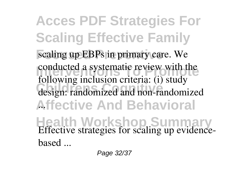**Acces PDF Strategies For Scaling Effective Family** scaling up EBPs in primary care. We **Intervention asset as systematic review with the** design: randomized and non-randomized **Affective And Behavioral** ... **Health Workshop Summary** following inclusion criteria: (i) study *Effective strategies for scaling up evidencebased ...*

Page 32/37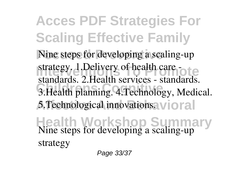**Acces PDF Strategies For Scaling Effective Family** Nine steps for developing a scaling-up **Interventions To Property of health care -Childrens Cognitive** 3.Health planning. 4.Technology, Medical. 5.Technological innovations. vioral **Health Workshop Summary** standards. 2.Health services - standards. *Nine steps for developing a scaling-up strategy*

Page 33/37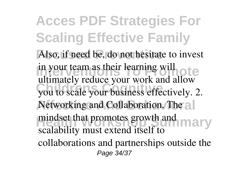**Acces PDF Strategies For Scaling Effective Family** Also, if need be, do not hesitate to invest in your team as their learning will you to scale your business effectively. 2. Networking and Collaboration. The all mindset that promotes growth and **many** ultimately reduce your work and allow scalability must extend itself to collaborations and partnerships outside the Page 34/37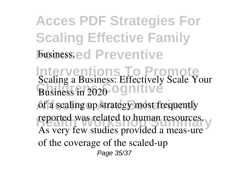**Acces PDF Strategies For Scaling Effective Family Fusiness.ed Preventive** 

**Interventions To Promote Business in 2020 OGNITIVE** of a scaling up strategy most frequently reported was related to human resources. *Scaling a Business: Effectively Scale Your* As very few studies provided a meas-ure of the coverage of the scaled-up Page 35/37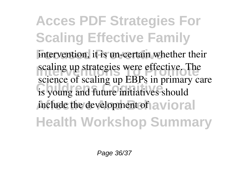**Acces PDF Strategies For Scaling Effective Family** intervention, it is un-certain whether their scaling up strategies were effective. The is young and future initiatives should include the development of avioral **Health Workshop Summary** science of scaling up EBPs in primary care